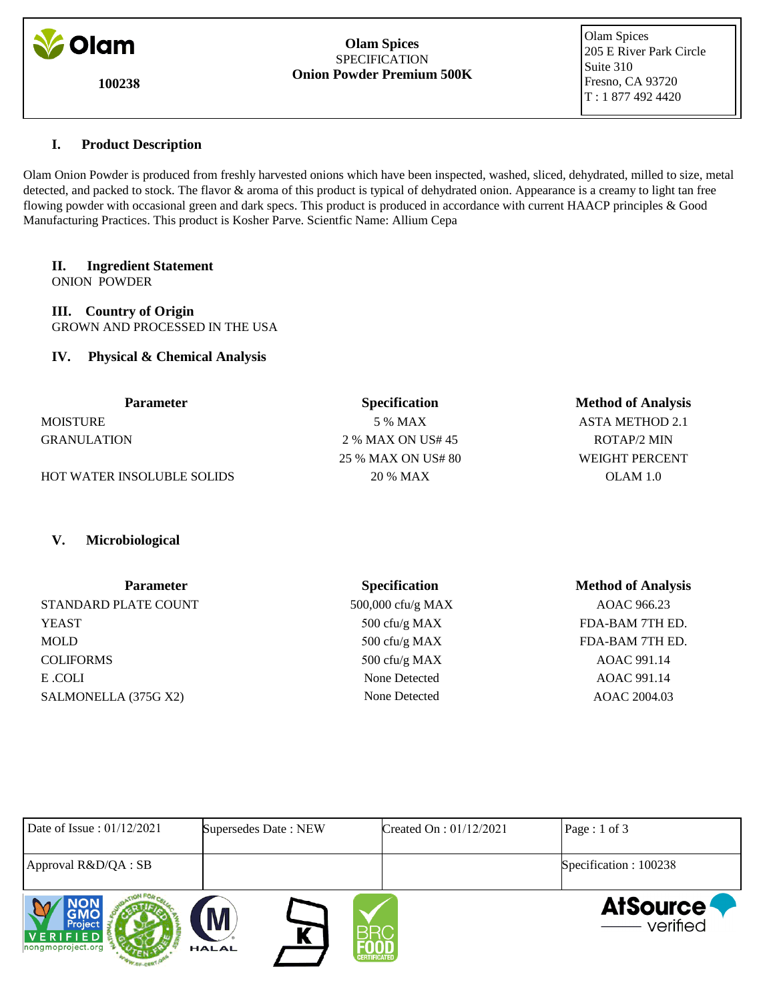

**100238**

#### **Olam Spices** SPECIFICATION **Onion Powder Premium 500K**

 Olam Spices 205 E River Park Circle Suite 310 Fresno, CA 93720 T : 1 877 492 4420

# **I. Product Description**

Olam Onion Powder is produced from freshly harvested onions which have been inspected, washed, sliced, dehydrated, milled to size, metal detected, and packed to stock. The flavor & aroma of this product is typical of dehydrated onion. Appearance is a creamy to light tan free flowing powder with occasional green and dark specs. This product is produced in accordance with current HAACP principles & Good Manufacturing Practices. This product is Kosher Parve. Scientfic Name: Allium Cepa

# **II. Ingredient Statement**

ONION POWDER

**III. Country of Origin** GROWN AND PROCESSED IN THE USA

# **IV. Physical & Chemical Analysis**

| <b>Parameter</b>                  | <b>Specification</b> | <b>Method of Analysis</b> |
|-----------------------------------|----------------------|---------------------------|
| <b>MOISTURE</b>                   | 5 % MAX              | ASTA METHOD 2.1           |
| <b>GRANULATION</b>                | 2 % MAX ON US# 45    | ROTAP/2 MIN               |
|                                   | 25 % MAX ON US# 80   | WEIGHT PERCENT            |
| <b>HOT WATER INSOLUBLE SOLIDS</b> | 20 % MAX             | OLAM 1.0                  |

# **V. Microbiological**

| <b>Parameter</b>     | <b>Specification</b> | <b>Method of Analysis</b> |
|----------------------|----------------------|---------------------------|
| STANDARD PLATE COUNT | 500,000 cfu/g MAX    | AOAC 966.23               |
| <b>YEAST</b>         | 500 cfu/g MAX        | FDA-BAM 7TH ED.           |
| <b>MOLD</b>          | 500 cfu/g MAX        | FDA-BAM 7TH ED.           |
| <b>COLIFORMS</b>     | 500 cfu/g MAX        | AOAC 991.14               |
| E .COLI              | None Detected        | AOAC 991.14               |
| SALMONELLA (375G X2) | None Detected        | AOAC 2004.03              |

| Date of Issue: $01/12/2021$              | Supersedes Date: NEW | Created On : $01/12/2021$ | $\text{Page}: 1 \text{ of } 3$ |
|------------------------------------------|----------------------|---------------------------|--------------------------------|
| Approval R&D/QA : SB                     |                      |                           | Specification: 100238          |
| Project<br>VERIFIED<br>nongmoproject.org | M<br><b>HALAL</b>    | <b>CERTIFICATED</b>       | <b>AtSource</b><br>—— verified |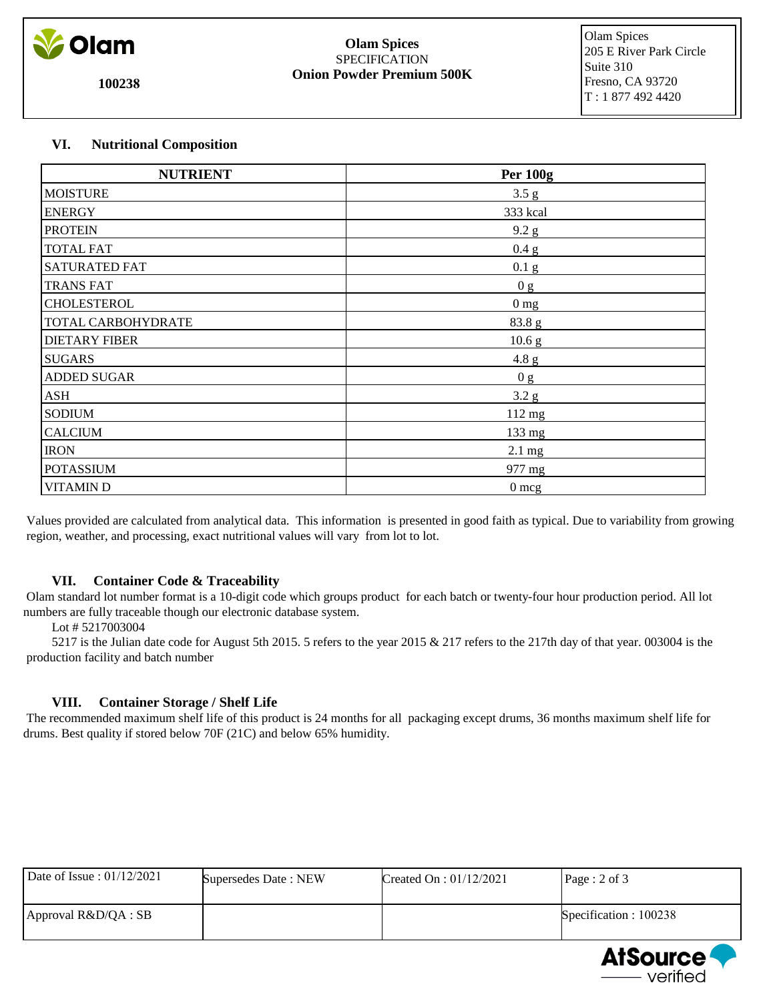

**100238**

#### **Olam Spices** SPECIFICATION **Onion Powder Premium 500K**

 Olam Spices 205 E River Park Circle Suite 310 Fresno, CA 93720 T : 1 877 492 4420

# **VI. Nutritional Composition**

| <b>NUTRIENT</b>      | <b>Per 100g</b>   |
|----------------------|-------------------|
| <b>MOISTURE</b>      | 3.5 g             |
| <b>ENERGY</b>        | 333 kcal          |
| <b>PROTEIN</b>       | 9.2 g             |
| <b>TOTAL FAT</b>     | 0.4 g             |
| <b>SATURATED FAT</b> | 0.1 <sub>g</sub>  |
| <b>TRANS FAT</b>     | 0 <sub>g</sub>    |
| CHOLESTEROL          | 0 <sub>mg</sub>   |
| TOTAL CARBOHYDRATE   | 83.8 g            |
| <b>DIETARY FIBER</b> | 10.6 <sub>g</sub> |
| <b>SUGARS</b>        | 4.8 g             |
| <b>ADDED SUGAR</b>   | 0 g               |
| ASH                  | 3.2 g             |
| <b>SODIUM</b>        | $112$ mg          |
| <b>CALCIUM</b>       | 133 mg            |
| <b>IRON</b>          | $2.1 \text{ mg}$  |
| <b>POTASSIUM</b>     | 977 mg            |
| <b>VITAMIND</b>      | $0 \text{ mcg}$   |

 Values provided are calculated from analytical data. This information is presented in good faith as typical. Due to variability from growing region, weather, and processing, exact nutritional values will vary from lot to lot.

# **VII. Container Code & Traceability**

 Olam standard lot number format is a 10-digit code which groups product for each batch or twenty-four hour production period. All lot numbers are fully traceable though our electronic database system.

Lot # 5217003004

 5217 is the Julian date code for August 5th 2015. 5 refers to the year 2015 & 217 refers to the 217th day of that year. 003004 is the production facility and batch number

# **VIII. Container Storage / Shelf Life**

 The recommended maximum shelf life of this product is 24 months for all packaging except drums, 36 months maximum shelf life for drums. Best quality if stored below 70F (21C) and below 65% humidity.

| Date of Issue: $01/12/2021$ | Supersedes Date: NEW | Created On : $01/12/2021$ | $\textsf{Page}: 2 \text{ of } 3$ |
|-----------------------------|----------------------|---------------------------|----------------------------------|
| Approval R&D/QA : SB        |                      |                           | Specification: 100238            |